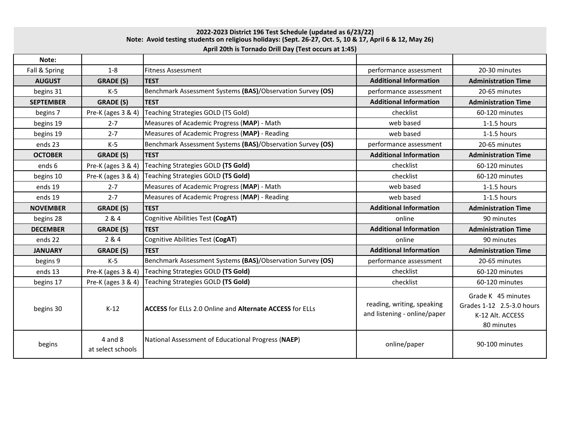## **Note: Avoid testing students on religious holidays: (Sept. 26-27, Oct. 5, 10 & 17, April 6 & 12, May 26) April 20th is Tornado Drill Day (Test occurs at 1:45) 2022-2023 District 196 Test Schedule (updated as 6/23/22)**

| Note:            |                                  |                                                                 |                                                            |                                                                                   |
|------------------|----------------------------------|-----------------------------------------------------------------|------------------------------------------------------------|-----------------------------------------------------------------------------------|
| Fall & Spring    | $1-8$                            | <b>Fitness Assessment</b>                                       | performance assessment                                     | 20-30 minutes                                                                     |
| <b>AUGUST</b>    | <b>GRADE (S)</b>                 | <b>TEST</b>                                                     | <b>Additional Information</b>                              | <b>Administration Time</b>                                                        |
| begins 31        | $K-5$                            | Benchmark Assessment Systems (BAS)/Observation Survey (OS)      | performance assessment                                     | 20-65 minutes                                                                     |
| <b>SEPTEMBER</b> | <b>GRADE (S)</b>                 | <b>TEST</b>                                                     | <b>Additional Information</b>                              | <b>Administration Time</b>                                                        |
| begins 7         | Pre-K (ages 3 & 4)               | Teaching Strategies GOLD (TS Gold)                              | checklist                                                  | 60-120 minutes                                                                    |
| begins 19        | $2 - 7$                          | Measures of Academic Progress (MAP) - Math                      | web based                                                  | 1-1.5 hours                                                                       |
| begins 19        | $2 - 7$                          | Measures of Academic Progress (MAP) - Reading                   | web based                                                  | 1-1.5 hours                                                                       |
| ends 23          | $K-5$                            | Benchmark Assessment Systems (BAS)/Observation Survey (OS)      | performance assessment                                     | 20-65 minutes                                                                     |
| <b>OCTOBER</b>   | <b>GRADE (S)</b>                 | <b>TEST</b>                                                     | <b>Additional Information</b>                              | <b>Administration Time</b>                                                        |
| ends 6           | Pre-K (ages 3 & 4)               | Teaching Strategies GOLD (TS Gold)                              | checklist                                                  | 60-120 minutes                                                                    |
| begins 10        | Pre-K (ages 3 & 4)               | Teaching Strategies GOLD (TS Gold)                              | checklist                                                  | 60-120 minutes                                                                    |
| ends 19          | $2 - 7$                          | Measures of Academic Progress (MAP) - Math                      | web based                                                  | $1-1.5$ hours                                                                     |
| ends 19          | $2 - 7$                          | Measures of Academic Progress (MAP) - Reading                   | web based                                                  | 1-1.5 hours                                                                       |
| <b>NOVEMBER</b>  | <b>GRADE (S)</b>                 | <b>TEST</b>                                                     | <b>Additional Information</b>                              | <b>Administration Time</b>                                                        |
| begins 28        | 284                              | Cognitive Abilities Test (CogAT)                                | online                                                     | 90 minutes                                                                        |
| <b>DECEMBER</b>  | <b>GRADE (S)</b>                 | <b>TEST</b>                                                     | <b>Additional Information</b>                              | <b>Administration Time</b>                                                        |
| ends 22          | 2 & 4                            | Cognitive Abilities Test (CogAT)                                | online                                                     | 90 minutes                                                                        |
| <b>JANUARY</b>   | <b>GRADE (S)</b>                 | <b>TEST</b>                                                     | <b>Additional Information</b>                              | <b>Administration Time</b>                                                        |
| begins 9         | $K-5$                            | Benchmark Assessment Systems (BAS)/Observation Survey (OS)      | performance assessment                                     | 20-65 minutes                                                                     |
| ends 13          | Pre-K (ages 3 & 4)               | Teaching Strategies GOLD (TS Gold)                              | checklist                                                  | 60-120 minutes                                                                    |
| begins 17        | Pre-K (ages 3 & 4)               | Teaching Strategies GOLD (TS Gold)                              | checklist                                                  | 60-120 minutes                                                                    |
| begins 30        | $K-12$                           | <b>ACCESS</b> for ELLs 2.0 Online and Alternate ACCESS for ELLs | reading, writing, speaking<br>and listening - online/paper | Grade K 45 minutes<br>Grades 1-12 2.5-3.0 hours<br>K-12 Alt. ACCESS<br>80 minutes |
| begins           | $4$ and $8$<br>at select schools | National Assessment of Educational Progress (NAEP)              | online/paper                                               | 90-100 minutes                                                                    |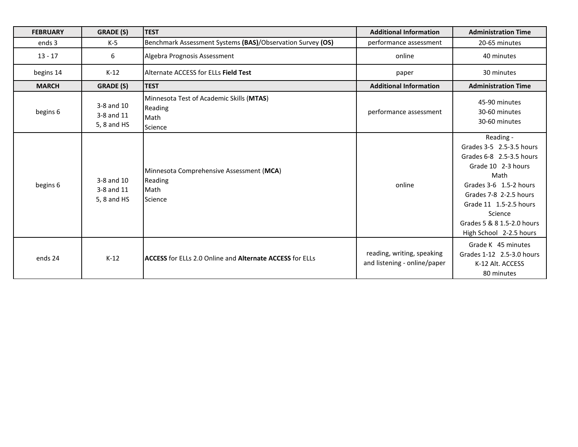| <b>FEBRUARY</b> | <b>GRADE (S)</b>                        | <b>TEST</b>                                                            | <b>Additional Information</b>                              | <b>Administration Time</b>                                                                                                                                                                                                                        |
|-----------------|-----------------------------------------|------------------------------------------------------------------------|------------------------------------------------------------|---------------------------------------------------------------------------------------------------------------------------------------------------------------------------------------------------------------------------------------------------|
| ends 3          | $K-5$                                   | Benchmark Assessment Systems (BAS)/Observation Survey (OS)             | performance assessment                                     | 20-65 minutes                                                                                                                                                                                                                                     |
| $13 - 17$       | 6                                       | Algebra Prognosis Assessment                                           | online                                                     | 40 minutes                                                                                                                                                                                                                                        |
| begins 14       | $K-12$                                  | Alternate ACCESS for ELLs Field Test                                   | paper                                                      | 30 minutes                                                                                                                                                                                                                                        |
| <b>MARCH</b>    | <b>GRADE (S)</b>                        | <b>TEST</b>                                                            | <b>Additional Information</b>                              | <b>Administration Time</b>                                                                                                                                                                                                                        |
| begins 6        | 3-8 and 10<br>3-8 and 11<br>5, 8 and HS | Minnesota Test of Academic Skills (MTAS)<br>Reading<br>Math<br>Science | performance assessment                                     | 45-90 minutes<br>30-60 minutes<br>30-60 minutes                                                                                                                                                                                                   |
| begins 6        | 3-8 and 10<br>3-8 and 11<br>5, 8 and HS | Minnesota Comprehensive Assessment (MCA)<br>Reading<br>Math<br>Science | online                                                     | Reading -<br>Grades 3-5 2.5-3.5 hours<br>Grades 6-8 2.5-3.5 hours<br>Grade 10 2-3 hours<br>Math<br>Grades 3-6 1.5-2 hours<br>Grades 7-8 2-2.5 hours<br>Grade 11 1.5-2.5 hours<br>Science<br>Grades 5 & 8 1.5-2.0 hours<br>High School 2-2.5 hours |
| ends 24         | $K-12$                                  | <b>ACCESS</b> for ELLs 2.0 Online and Alternate ACCESS for ELLs        | reading, writing, speaking<br>and listening - online/paper | Grade K 45 minutes<br>Grades 1-12 2.5-3.0 hours<br>K-12 Alt. ACCESS<br>80 minutes                                                                                                                                                                 |